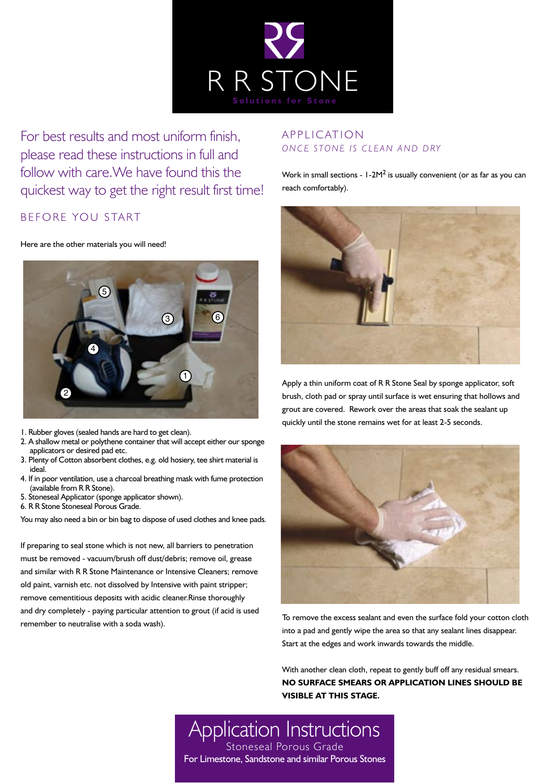

For best results and most uniform finish, please read these instructions in full and follow with care.We have found this the quickest way to get the right result first time!

# BEFORE YOU START

#### Here are the other materials you will need!



- 1. Rubber gloves (sealed hands are hard to get clean).
- 2. A shallow metal or polythene container that will accept either our sponge applicators or desired pad etc.
- 3. Plenty of Cotton absorbent clothes, e.g. old hosiery, tee shirt material is ideal.
- 4. If in poor ventilation, use a charcoal breathing mask with fume protection (available from R R Stone).
- 5. Stoneseal Applicator (sponge applicator shown).
- 6. R R Stone Stoneseal Porous Grade.

You may also need a bin or bin bag to dispose of used clothes and knee pads.

If preparing to seal stone which is not new, all barriers to penetration must be removed - vacuum/brush off dust/debris; remove oil, grease and similar with R R Stone Maintenance or Intensive Cleaners; remove old paint, varnish etc. not dissolved by Intensive with paint stripper; remove cementitious deposits with acidic cleaner.Rinse thoroughly and dry completely - paying particular attention to grout (if acid is used remember to neutralise with a soda wash).

## **APPLICATION** ON CE STONE IS CLEAN AND DRY

Work in small sections - 1-2M<sup>2</sup> is usually convenient (or as far as you can reach comfortably).



Apply a thin uniform coat of R R Stone Seal by sponge applicator, soft brush, cloth pad or spray until surface is wet ensuring that hollows and grout are covered. Rework over the areas that soak the sealant up quickly until the stone remains wet for at least 2-5 seconds.



To remove the excess sealant and even the surface fold your cotton cloth into a pad and gently wipe the area so that any sealant lines disappear. Start at the edges and work inwards towards the middle.

With another clean cloth, repeat to gently buff off any residual smears. **NO SURFACE SMEARS OR APPLICATION LINES SHOULD BE VISIBLE AT THIS STAGE.** 

Application Instructions Stoneseal Porous Grade For Limestone, Sandstone and similar Porous Stones